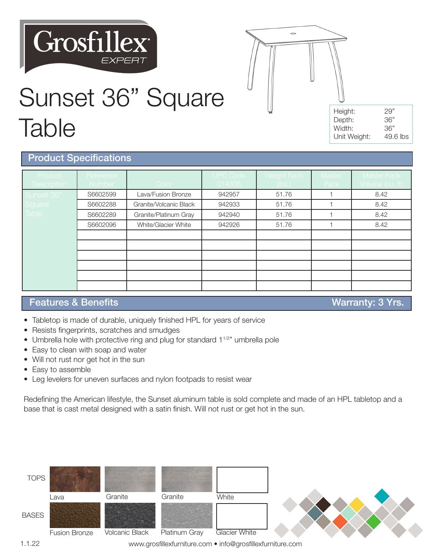# **Grosfillex**



### Sunset 36" Square Table

| Height:      | 29"      |
|--------------|----------|
| Depth:       | 36"      |
| Width:       | 36"      |
| Unit Weight: | 49.6 lbs |

#### Product Specifications

| Product<br><b>Description</b> | Reference<br>Number | Color :                | <b>UPC Code</b><br>014306 | Weight Each<br>(lbs.) | Master<br>Pack | <b>Master Pack</b><br>Volume (cu. ft) |
|-------------------------------|---------------------|------------------------|---------------------------|-----------------------|----------------|---------------------------------------|
| Sunset 36"                    | S6602599            | Lava/Fusion Bronze     | 942957                    | 51.76                 |                | 8.42                                  |
| Square                        | S6602288            | Granite/Volcanic Black | 942933                    | 51.76                 |                | 8.42                                  |
| <b>Table</b>                  | S6602289            | Granite/Platinum Gray  | 942940                    | 51.76                 |                | 8.42                                  |
|                               | S6602096            | White/Glacier White    | 942926                    | 51.76                 |                | 8.42                                  |
|                               |                     |                        |                           |                       |                |                                       |
|                               |                     |                        |                           |                       |                |                                       |
|                               |                     |                        |                           |                       |                |                                       |
|                               |                     |                        |                           |                       |                |                                       |
|                               |                     |                        |                           |                       |                |                                       |
|                               |                     |                        |                           |                       |                |                                       |

#### Features & Benefits **Warranty: 3 Yrs.** The Second Structure Warranty: 3 Yrs.

- Tabletop is made of durable, uniquely finished HPL for years of service
- Resists fingerprints, scratches and smudges
- Umbrella hole with protective ring and plug for standard 1<sup>1/2"</sup> umbrella pole
- Easy to clean with soap and water
- Will not rust nor get hot in the sun
- Easy to assemble
- Leg levelers for uneven surfaces and nylon footpads to resist wear

Redefining the American lifestyle, the Sunset aluminum table is sold complete and made of an HPL tabletop and a base that is cast metal designed with a satin finish. Will not rust or get hot in the sun.